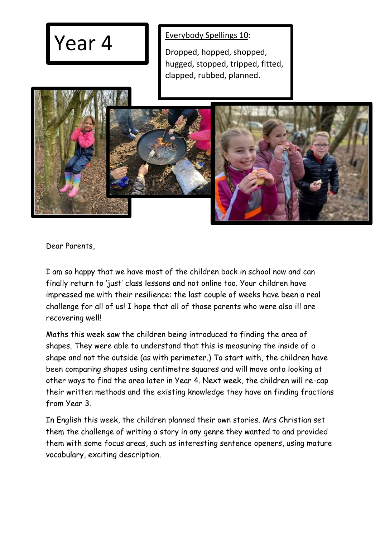## Year 4 **Everybody Spellings 10:**

Dropped, hopped, shopped, hugged, stopped, tripped, fitted, clapped, rubbed, planned.



Dear Parents,

I am so happy that we have most of the children back in school now and can finally return to 'just' class lessons and not online too. Your children have impressed me with their resilience: the last couple of weeks have been a real challenge for all of us! I hope that all of those parents who were also ill are recovering well!

Maths this week saw the children being introduced to finding the area of shapes. They were able to understand that this is measuring the inside of a shape and not the outside (as with perimeter.) To start with, the children have been comparing shapes using centimetre squares and will move onto looking at other ways to find the area later in Year 4. Next week, the children will re-cap their written methods and the existing knowledge they have on finding fractions from Year 3.

In English this week, the children planned their own stories. Mrs Christian set them the challenge of writing a story in any genre they wanted to and provided them with some focus areas, such as interesting sentence openers, using mature vocabulary, exciting description.